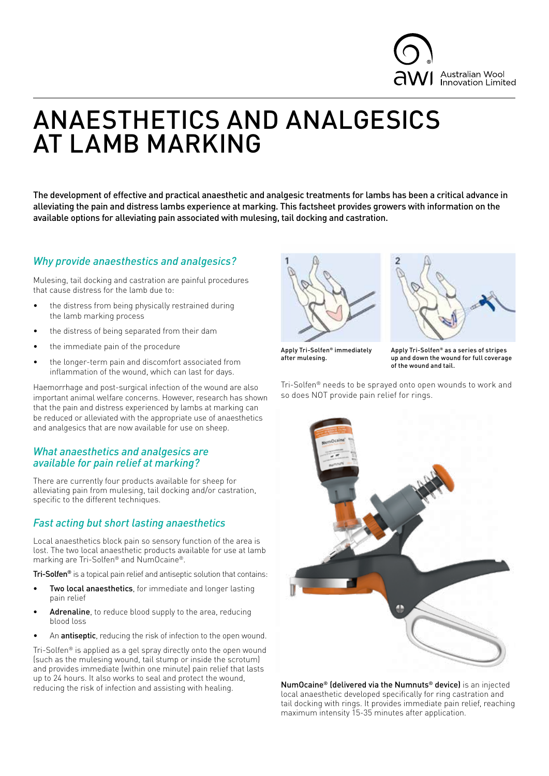

# ANAESTHETICS AND ANALGESICS AT LAMB MARKING

The development of effective and practical anaesthetic and analgesic treatments for lambs has been a critical advance in alleviating the pain and distress lambs experience at marking. This factsheet provides growers with information on the available options for alleviating pain associated with mulesing, tail docking and castration.

# *Why provide anaesthestics and analgesics?*

Mulesing, tail docking and castration are painful procedures that cause distress for the lamb due to:

- the distress from being physically restrained during the lamb marking process
- the distress of being separated from their dam
- the immediate pain of the procedure
- the longer-term pain and discomfort associated from inflammation of the wound, which can last for days.

Haemorrhage and post-surgical infection of the wound are also important animal welfare concerns. However, research has shown that the pain and distress experienced by lambs at marking can be reduced or alleviated with the appropriate use of anaesthetics and analgesics that are now available for use on sheep.

# *What anaesthetics and analgesics are available for pain relief at marking?*

There are currently four products available for sheep for alleviating pain from mulesing, tail docking and/or castration, specific to the different techniques.

# *Fast acting but short lasting anaesthetics*

Local anaesthetics block pain so sensory function of the area is lost. The two local anaesthetic products available for use at lamb marking are Tri-Solfen® and NumOcaine®.

Tri-Solfen<sup>®</sup> is a topical pain relief and antiseptic solution that contains:

- Two local anaesthetics, for immediate and longer lasting pain relief
- Adrenaline, to reduce blood supply to the area, reducing blood loss
- An antiseptic, reducing the risk of infection to the open wound.

Tri-Solfen® is applied as a gel spray directly onto the open wound (such as the mulesing wound, tail stump or inside the scrotum) and provides immediate (within one minute) pain relief that lasts up to 24 hours. It also works to seal and protect the wound, reducing the risk of infection and assisting with healing. NumOcaine® (delivered via the Numnuts® device) is an injected





Apply Tri-Solfen® immediately after mulesing.

Apply Tri-Solfen® as a series of stripes up and down the wound for full coverage of the wound and tail.

Tri-Solfen® needs to be sprayed onto open wounds to work and so does NOT provide pain relief for rings.



local anaesthetic developed specifically for ring castration and tail docking with rings. It provides immediate pain relief, reaching maximum intensity 15-35 minutes after application.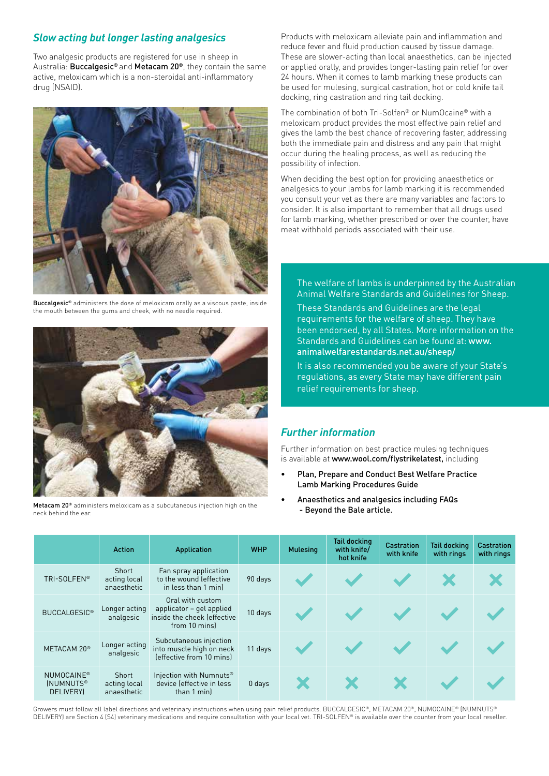# *Slow acting but longer lasting analgesics*

Two analgesic products are registered for use in sheep in Australia: Buccalgesic® and Metacam 20®, they contain the same active, meloxicam which is a non-steroidal anti-inflammatory drug (NSAID).



Buccalgesic® administers the dose of meloxicam orally as a viscous paste, inside the mouth between the gums and cheek, with no needle required.



Metacam 20® administers meloxicam as a subcutaneous injection high on the neck behind the ear.

Products with meloxicam alleviate pain and inflammation and reduce fever and fluid production caused by tissue damage. These are slower-acting than local anaesthetics, can be injected or applied orally, and provides longer-lasting pain relief for over 24 hours. When it comes to lamb marking these products can be used for mulesing, surgical castration, hot or cold knife tail docking, ring castration and ring tail docking.

The combination of both Tri-Solfen® or NumOcaine® with a meloxicam product provides the most effective pain relief and gives the lamb the best chance of recovering faster, addressing both the immediate pain and distress and any pain that might occur during the healing process, as well as reducing the possibility of infection.

When deciding the best option for providing anaesthetics or analgesics to your lambs for lamb marking it is recommended you consult your vet as there are many variables and factors to consider. It is also important to remember that all drugs used for lamb marking, whether prescribed or over the counter, have meat withhold periods associated with their use.

The welfare of lambs is underpinned by the Australian Animal Welfare Standards and Guidelines for Sheep.

These Standards and Guidelines are the legal requirements for the welfare of sheep. They have been endorsed, by all States. More information on the Standards and Guidelines can be found at: [www.](http://www.animalwelfarestandards.net.au/sheep/) [animalwelfarestandards.net.au/sheep/](http://www.animalwelfarestandards.net.au/sheep/)

It is also recommended you be aware of your State's regulations, as every State may have different pain relief requirements for sheep.

## *Further information*

Further information on best practice mulesing techniques is available at [www.wool.com/flystrikelatest,](http://www.wool.com/flystrikelatest) including

- [Plan, Prepare and Conduct Best Welfare Practice](https://www.wool.com/globalassets/wool/sheep/research-publications/welfare/improved-breech-flystrike-management/plan-prepare-conduct-best-practice-lamb-marking-training-guide.pdf)  [Lamb Marking Procedures Guide](https://www.wool.com/globalassets/wool/sheep/research-publications/welfare/improved-breech-flystrike-management/plan-prepare-conduct-best-practice-lamb-marking-training-guide.pdf)
- [Anaesthetics and analgesics including FAQs](https://www.wool.com/globalassets/wool/sheep/research-publications/welfare/improved-pain-relief/btb-81-dec2019-anaesthetics-analgesics-widely-adopted-by-woolgrowers.pdf)  [- Beyond the Bale article.](https://www.wool.com/globalassets/wool/sheep/research-publications/welfare/improved-pain-relief/btb-81-dec2019-anaesthetics-analgesics-widely-adopted-by-woolgrowers.pdf)

|                                                         | <b>Action</b>                        | Application                                                                                  | <b>WHP</b> | <b>Mulesing</b> | <b>Tail docking</b><br>with knife/<br>hot knife | <b>Castration</b><br>with knife | <b>Tail docking</b><br>with rings | <b>Castration</b><br>with rings |
|---------------------------------------------------------|--------------------------------------|----------------------------------------------------------------------------------------------|------------|-----------------|-------------------------------------------------|---------------------------------|-----------------------------------|---------------------------------|
| TRI-SOLFEN <sup>®</sup>                                 | Short<br>acting local<br>anaesthetic | Fan spray application<br>to the wound (effective<br>in less than 1 minl                      | 90 days    |                 |                                                 |                                 |                                   |                                 |
| <b>BUCCALGESIC<sup>®</sup></b>                          | Longer acting<br>analgesic           | Oral with custom<br>applicator – gel applied<br>inside the cheek (effective<br>from 10 mins) | 10 days    |                 |                                                 |                                 |                                   |                                 |
| METACAM 20 <sup>®</sup>                                 | Longer acting<br>analgesic           | Subcutaneous injection<br>into muscle high on neck<br>(effective from 10 mins)               | 11 days    |                 |                                                 |                                 |                                   |                                 |
| NUMOCAINE <sup>®</sup><br><b>INUMNUTS®</b><br>DELIVERY) | Short<br>acting local<br>anaesthetic | Injection with Numnuts <sup>®</sup><br>device (effective in less<br>than 1 min)              | $0$ days   |                 |                                                 |                                 |                                   |                                 |

Growers must follow all label directions and veterinary instructions when using pain relief products. BUCCALGESIC®, METACAM 20®, NUMOCAINE® (NUMNUTS® DELIVERY) are Section 4 (S4) veterinary medications and require consultation with your local vet. TRI-SOLFEN® is available over the counter from your local reseller.